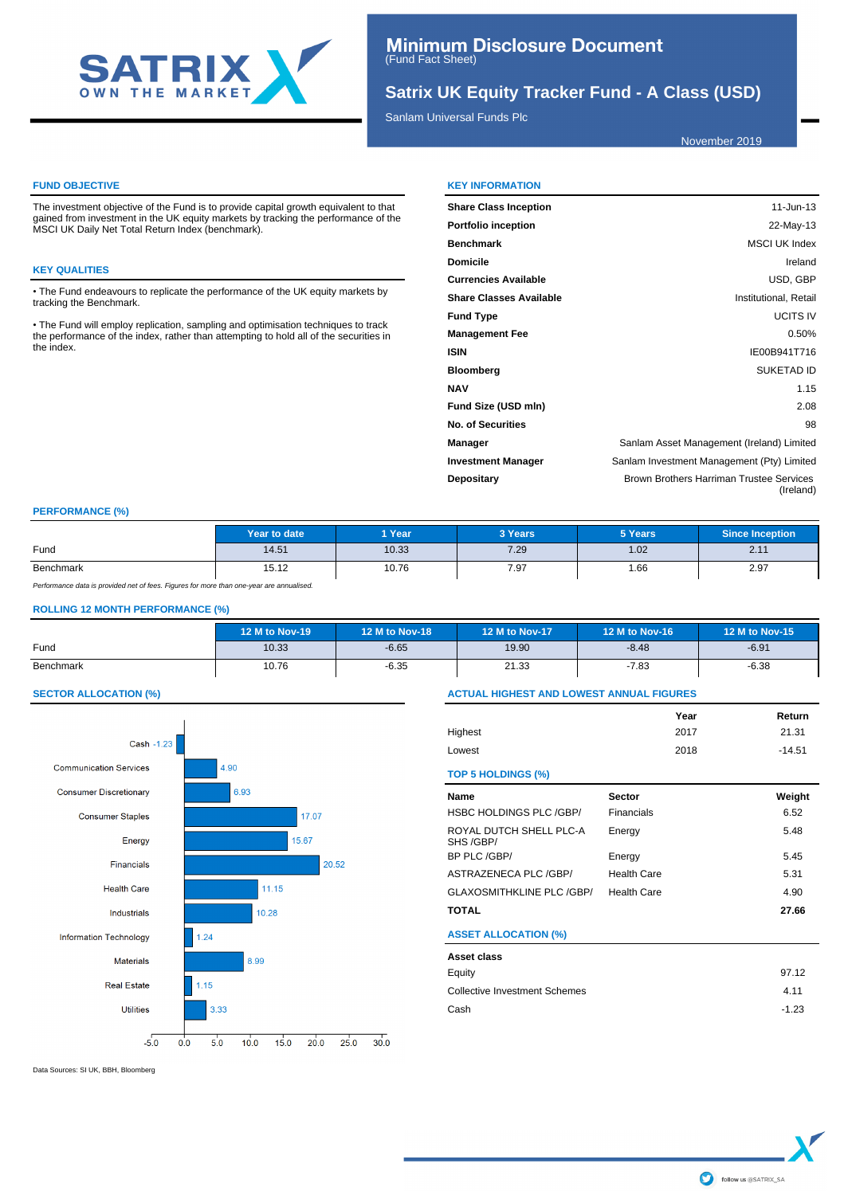

# **Satrix UK Equity Tracker Fund - A Class (USD)**

Sanlam Universal Funds Plc

November 2019

#### **FUND OBJECTIVE**

The investment objective of the Fund is to provide capital growth equivalent to that gained from investment in the UK equity markets by tracking the performance of the MSCI UK Daily Net Total Return Index (benchmark).

#### **KEY QUALITIES**

• The Fund endeavours to replicate the performance of the UK equity markets by tracking the Benchmark.

• The Fund will employ replication, sampling and optimisation techniques to track the performance of the index, rather than attempting to hold all of the securities in the index.

#### **KEY INFORMATION**

| <b>Share Class Inception</b> | 11-Jun-13                                             |
|------------------------------|-------------------------------------------------------|
| Portfolio inception          | 22-May-13                                             |
| Benchmark                    | <b>MSCI UK Index</b>                                  |
| Domicile                     | Ireland                                               |
| Currencies Available         | USD, GBP                                              |
| Share Classes Available      | Institutional, Retail                                 |
| <b>Fund Type</b>             | <b>UCITS IV</b>                                       |
| <b>Management Fee</b>        | 0.50%                                                 |
| ISIN                         | IE00B941T716                                          |
| Bloomberg                    | <b>SUKETAD ID</b>                                     |
| NAV                          | 1.15                                                  |
| Fund Size (USD mln)          | 2.08                                                  |
| No. of Securities            | 98                                                    |
| Manager                      | Sanlam Asset Management (Ireland) Limited             |
| <b>Investment Manager</b>    | Sanlam Investment Management (Pty) Limited            |
| Depositary                   | Brown Brothers Harriman Trustee Services<br>(Ireland) |

### **PERFORMANCE (%)**

|           | Year to date | 1 Year<br>3 Years |      | 5 Years | Since Inception                     |
|-----------|--------------|-------------------|------|---------|-------------------------------------|
| Fund      | 14.51        | 10.33             | 7.29 | 1.02    | 0.44<br>$\mathsf{Z}$ . $\mathsf{I}$ |
| Benchmark | 15.12        | 10.76             | 7.97 | i .66   | 2.97                                |

Performance data is provided net of fees. Figures for more than one-year are annualised.

### **ROLLING 12 MONTH PERFORMANCE (%)**

|           | 12 M to Nov-19 | 12 M to Nov-18 | 12 M to Nov-17 | 12 M to Nov-16 | 12 M to Nov-15 |
|-----------|----------------|----------------|----------------|----------------|----------------|
| Fund      | 10.33          | $-6.65$        | 19.90          | $-8.48$        | $-6.91$        |
| Benchmark | 10.76          | $-6.35$        | 21.33          | -7.83          | $-6.38$        |

### **SECTOR ALLOCATION (%)**



**ACTUAL HIGHEST AND LOWEST ANNUAL FIGURES Year Return**

| Highest                              |                    | 2017 | 21.31    |
|--------------------------------------|--------------------|------|----------|
| Lowest                               |                    | 2018 | $-14.51$ |
| <b>TOP 5 HOLDINGS (%)</b>            |                    |      |          |
| Name                                 | <b>Sector</b>      |      | Weight   |
| HSBC HOLDINGS PLC /GBP/              | Financials         |      | 6.52     |
| ROYAL DUTCH SHELL PLC-A<br>SHS /GBP/ | Energy             |      | 5.48     |
| BP PLC /GBP/                         | Energy             |      | 5.45     |
| ASTRAZENECA PLC /GBP/                | <b>Health Care</b> |      | 5.31     |
| GLAXOSMITHKLINE PLC /GBP/            | <b>Health Care</b> |      | 4.90     |
| TOTAL                                |                    |      | 27.66    |
| <b>ASSET ALLOCATION (%)</b>          |                    |      |          |
| Asset class                          |                    |      |          |
| Equity                               |                    |      | 97.12    |
| <b>Collective Investment Schemes</b> |                    |      | 4.11     |
| Cash                                 |                    |      | $-1.23$  |
|                                      |                    |      |          |

Data Sources: SI UK, BBH, Bloomberg

follow us @SATRIX\_SA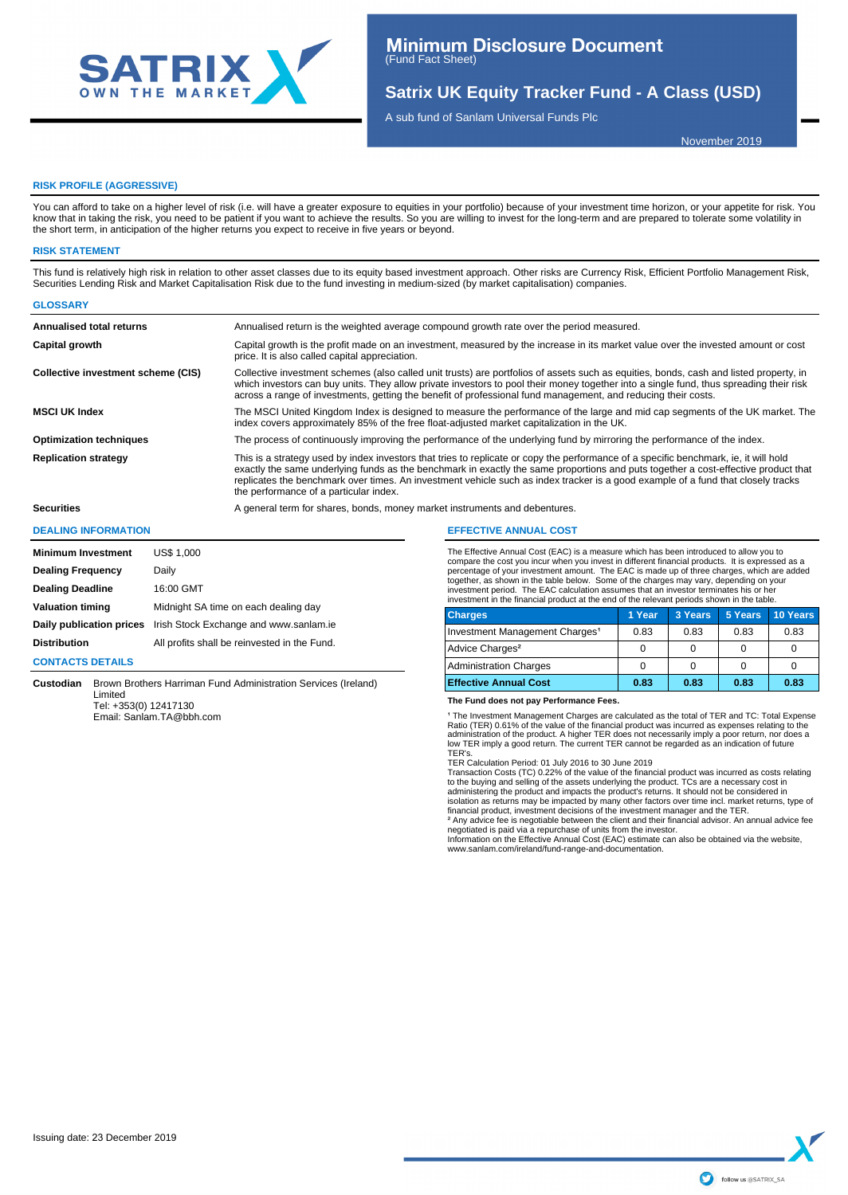

# **Satrix UK Equity Tracker Fund - A Class (USD)**

A sub fund of Sanlam Universal Funds Plc

November 2019

#### **RISK PROFILE (AGGRESSIVE)**

You can afford to take on a higher level of risk (i.e. will have a greater exposure to equities in your portfolio) because of your investment time horizon, or your appetite for risk. You know that in taking the risk, you need to be patient if you want to achieve the results. So you are willing to invest for the long-term and are prepared to tolerate some volatility in the short term, in anticipation of the higher returns you expect to receive in five years or beyond.

#### **RISK STATEMENT**

**GLOSSARY**

This fund is relatively high risk in relation to other asset classes due to its equity based investment approach. Other risks are Currency Risk, Efficient Portfolio Management Risk, Securities Lending Risk and Market Capitalisation Risk due to the fund investing in medium-sized (by market capitalisation) companies.

| <u>uluulunii</u>                   |                                                                                                                                                                                                                                                                                                                                                                                                                                                          |
|------------------------------------|----------------------------------------------------------------------------------------------------------------------------------------------------------------------------------------------------------------------------------------------------------------------------------------------------------------------------------------------------------------------------------------------------------------------------------------------------------|
| <b>Annualised total returns</b>    | Annualised return is the weighted average compound growth rate over the period measured.                                                                                                                                                                                                                                                                                                                                                                 |
| Capital growth                     | Capital growth is the profit made on an investment, measured by the increase in its market value over the invested amount or cost<br>price. It is also called capital appreciation.                                                                                                                                                                                                                                                                      |
| Collective investment scheme (CIS) | Collective investment schemes (also called unit trusts) are portfolios of assets such as equities, bonds, cash and listed property, in<br>which investors can buy units. They allow private investors to pool their money together into a single fund, thus spreading their risk<br>across a range of investments, getting the benefit of professional fund management, and reducing their costs.                                                        |
| <b>MSCI UK Index</b>               | The MSCI United Kingdom Index is designed to measure the performance of the large and mid cap segments of the UK market. The<br>index covers approximately 85% of the free float-adjusted market capitalization in the UK.                                                                                                                                                                                                                               |
| <b>Optimization techniques</b>     | The process of continuously improving the performance of the underlying fund by mirroring the performance of the index.                                                                                                                                                                                                                                                                                                                                  |
| <b>Replication strategy</b>        | This is a strategy used by index investors that tries to replicate or copy the performance of a specific benchmark, ie, it will hold<br>exactly the same underlying funds as the benchmark in exactly the same proportions and puts together a cost-effective product that<br>replicates the benchmark over times. An investment vehicle such as index tracker is a good example of a fund that closely tracks<br>the performance of a particular index. |
| <b>Securities</b>                  | A general term for shares, bonds, money market instruments and debentures.                                                                                                                                                                                                                                                                                                                                                                               |
|                                    |                                                                                                                                                                                                                                                                                                                                                                                                                                                          |

#### **DEALING INFORMATION**

| <b>Minimum Investment</b> | <b>US\$ 1,000</b>                            |
|---------------------------|----------------------------------------------|
| <b>Dealing Frequency</b>  | Daily                                        |
| <b>Dealing Deadline</b>   | 16:00 GMT                                    |
| <b>Valuation timing</b>   | Midnight SA time on each dealing day         |
| Daily publication prices  | Irish Stock Exchange and www.sanlam.ie       |
| <b>Distribution</b>       | All profits shall be reinvested in the Fund. |
|                           |                                              |

#### **CONTACTS DETAILS**

**Custodian** Brown Brothers Harriman Fund Administration Services (Ireland) Limited Tel: +353(0) 12417130

Email: Sanlam.TA@bbh.com

# **EFFECTIVE ANNUAL COST**

The Effective Annual Cost (EAC) is a measure which has been introduced to allow you to compare the cost you incur when you invest in different financial products. It is expressed as a percentage of your investment amount. The EAC is made up of three charges, which are added together, as shown in the table below. Some of the charges may vary, depending on your<br>investment period. The EAC calculation assumes that an investor terminates his or her<br>investment in the financial product at the end

| <b>Charges</b>                             | 1 Year | 3 Years | 5 Years | 10 Years |  |
|--------------------------------------------|--------|---------|---------|----------|--|
| Investment Management Charges <sup>1</sup> | 0.83   | 0.83    | 0.83    | 0.83     |  |
| Advice Charges <sup>2</sup>                |        |         |         |          |  |
| <b>Administration Charges</b>              |        |         |         |          |  |
| <b>Effective Annual Cost</b>               | 0.83   | 0.83    | 0.83    | 0.83     |  |

#### **The Fund does not pay Performance Fees.**

1 The Investment Management Charges are calculated as the total of TER and TC: Total Expense<br>Ratio (TER) 0.61% of the value of the financial product was incurred as expenses relating to the administration of the product. A higher TER does not necessarily imply a poor return, nor does a low TER imply a good return. The current TER cannot be regarded as an indication of future TER's.

TER Calculation Period: 01 July 2016 to 30 June 2019 Transaction Costs (TC) 0.22% of the value of the financial product was incurred as costs relating to the buying and selling of the assets underlying the product. TCs are a necessary cost in<br>administering the product and impacts the product's returns. It should not be considered in<br>isolation as returns may be impacted b

negotiated is paid via a repurchase of units from the investor.

Information on the Effective Annual Cost (EAC) estimate can also be obtained via the website, www.sanlam.com/ireland/fund-range-and-documentation.

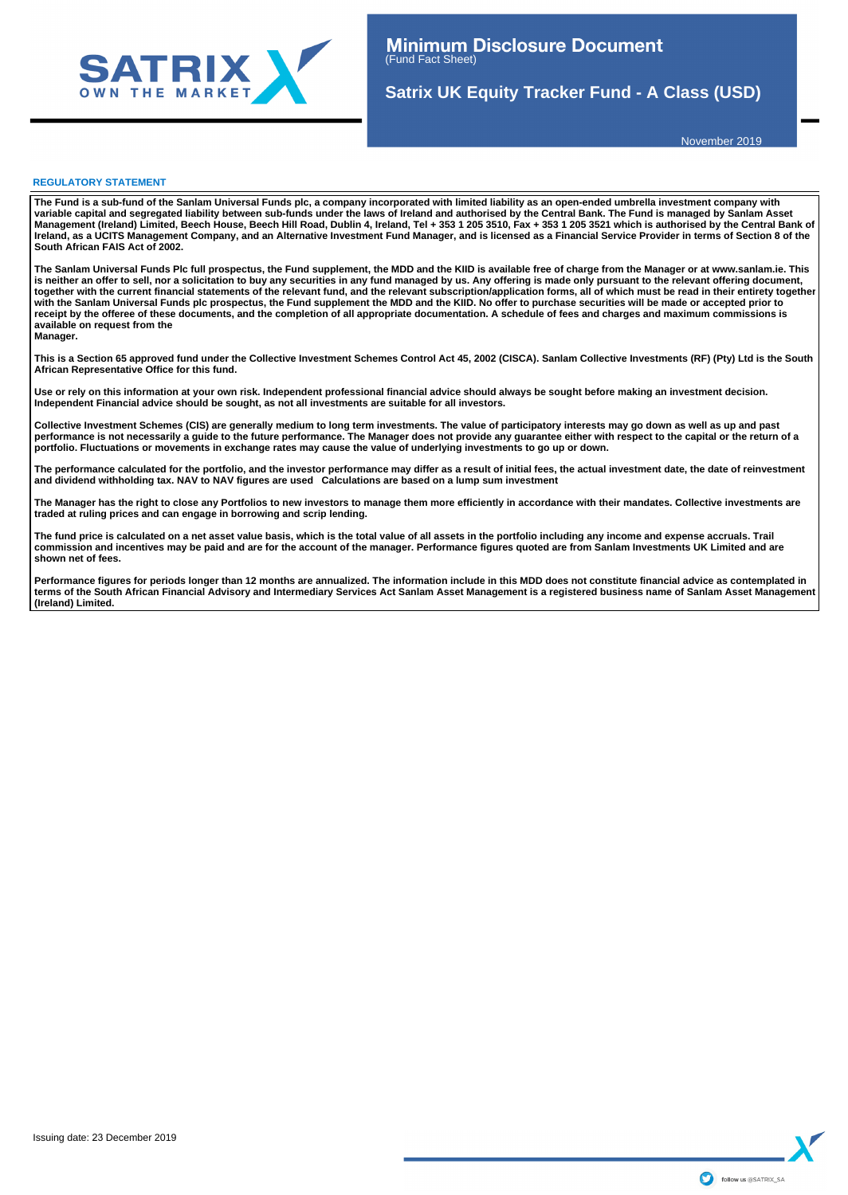

**Satrix UK Equity Tracker Fund - A Class (USD)**

November 2019

#### **REGULATORY STATEMENT**

**The Fund is a sub-fund of the Sanlam Universal Funds plc, a company incorporated with limited liability as an open-ended umbrella investment company with**  variable capital and segregated liability between sub-funds under the laws of Ireland and authorised by the Central Bank. The Fund is managed by Sanlam Asset<br>Management (Ireland) Limited, Beech House, Beech Hill Road, Dubl **Ireland, as a UCITS Management Company, and an Alternative Investment Fund Manager, and is licensed as a Financial Service Provider in terms of Section 8 of the South African FAIS Act of 2002.**

**The Sanlam Universal Funds Plc full prospectus, the Fund supplement, the MDD and the KIID is available free of charge from the Manager or at www.sanlam.ie. This**  is neither an offer to sell, nor a solicitation to buy any securities in any fund managed by us. Any offering is made only pursuant to the relevant offering document,<br>together with the current financial statements of the r with the Sanlam Universal Funds plc prospectus, the Fund supplement the MDD and the KIID. No offer to purchase securities will be made or accepted prior to **receipt by the offeree of these documents, and the completion of all appropriate documentation. A schedule of fees and charges and maximum commissions is available on request from the Manager.**

**This is a Section 65 approved fund under the Collective Investment Schemes Control Act 45, 2002 (CISCA). Sanlam Collective Investments (RF) (Pty) Ltd is the South African Representative Office for this fund.**

**Use or rely on this information at your own risk. Independent professional financial advice should always be sought before making an investment decision. Independent Financial advice should be sought, as not all investments are suitable for all investors.** 

Collective Investment Schemes (CIS) are generally medium to long term investments. The value of participatory interests may go down as well as up and past<br>performance is not necessarily a guide to the future performance. T **portfolio. Fluctuations or movements in exchange rates may cause the value of underlying investments to go up or down.** 

The performance calculated for the portfolio, and the investor performance may differ as a result of initial fees, the actual investment date, the date of reinvestment<br>and dividend withholding tax. NAV to NAV figures are u

**The Manager has the right to close any Portfolios to new investors to manage them more efficiently in accordance with their mandates. Collective investments are traded at ruling prices and can engage in borrowing and scrip lending.**

The fund price is calculated on a net asset value basis, which is the total value of all assets in the portfolio including any income and expense accruals. Trail **commission and incentives may be paid and are for the account of the manager. Performance figures quoted are from Sanlam Investments UK Limited and are shown net of fees.** 

Performance figures for periods longer than 12 months are annualized. The information include in this MDD does not constitute financial advice as contemplated in **terms of the South African Financial Advisory and Intermediary Services Act Sanlam Asset Management is a registered business name of Sanlam Asset Management (Ireland) Limited.**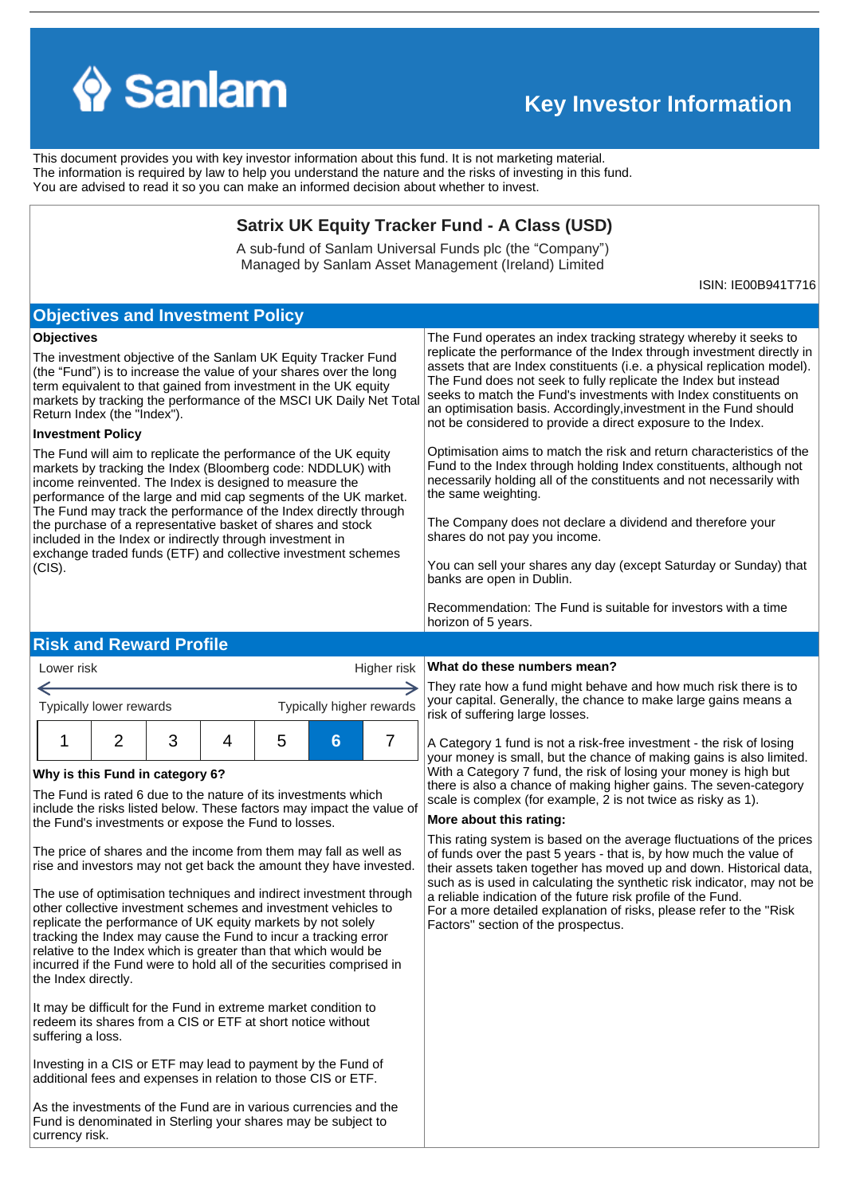

# **Key Investor Information**

This document provides you with key investor information about this fund. It is not marketing material. The information is required by law to help you understand the nature and the risks of investing in this fund. You are advised to read it so you can make an informed decision about whether to invest.

# **Satrix UK Equity Tracker Fund - A Class (USD)**

A sub-fund of Sanlam Universal Funds plc (the "Company") Managed by Sanlam Asset Management (Ireland) Limited

ISIN: IE00B941T716

# **Objectives and Investment Policy**

### **Objectives**

The investment objective of the Sanlam UK Equity Tracker Fund (the "Fund") is to increase the value of your shares over the long term equivalent to that gained from investment in the UK equity markets by tracking the performance of the MSCI UK Daily Net Total Return Index (the "Index").

### **Investment Policy**

Lower risk

The Fund will aim to replicate the performance of the UK equity markets by tracking the Index (Bloomberg code: NDDLUK) with income reinvented. The Index is designed to measure the performance of the large and mid cap segments of the UK market. The Fund may track the performance of the Index directly through the purchase of a representative basket of shares and stock included in the Index or indirectly through investment in exchange traded funds (ETF) and collective investment schemes (CIS).

The Fund operates an index tracking strategy whereby it seeks to replicate the performance of the Index through investment directly in assets that are Index constituents (i.e. a physical replication model). The Fund does not seek to fully replicate the Index but instead seeks to match the Fund's investments with Index constituents on an optimisation basis. Accordingly,investment in the Fund should not be considered to provide a direct exposure to the Index.

Optimisation aims to match the risk and return characteristics of the Fund to the Index through holding Index constituents, although not necessarily holding all of the constituents and not necessarily with the same weighting.

The Company does not declare a dividend and therefore your shares do not pay you income.

You can sell your shares any day (except Saturday or Sunday) that banks are open in Dublin.

Recommendation: The Fund is suitable for investors with a time horizon of 5 years.

# **Risk and Reward Profile**

| you<br>risk<br>Typically higher rewards<br>Typically lower rewards<br>6<br>:5 | LOWEI IISK |  |  |  |  | $n$ iqriei risk   $\cdots$ |     |
|-------------------------------------------------------------------------------|------------|--|--|--|--|----------------------------|-----|
|                                                                               |            |  |  |  |  |                            | Th  |
|                                                                               |            |  |  |  |  |                            |     |
|                                                                               |            |  |  |  |  |                            | νοι |

### **Why is this Fund in category 6?**

The Fund is rated 6 due to the nature of its investments which include the risks listed below. These factors may impact the value of the Fund's investments or expose the Fund to losses.

The price of shares and the income from them may fall as well as rise and investors may not get back the amount they have invested.

The use of optimisation techniques and indirect investment through other collective investment schemes and investment vehicles to replicate the performance of UK equity markets by not solely tracking the Index may cause the Fund to incur a tracking error relative to the Index which is greater than that which would be incurred if the Fund were to hold all of the securities comprised in the Index directly.

It may be difficult for the Fund in extreme market condition to redeem its shares from a CIS or ETF at short notice without suffering a loss.

Investing in a CIS or ETF may lead to payment by the Fund of additional fees and expenses in relation to those CIS or ETF.

As the investments of the Fund are in various currencies and the Fund is denominated in Sterling your shares may be subject to currency risk.

### Higher risk **What do these numbers mean?**

ey rate how a fund might behave and how much risk there is to ur capital. Generally, the chance to make large gains means a k of suffering large losses.

Category 1 fund is not a risk-free investment - the risk of losing ur money is small, but the chance of making gains is also limited. With a Category 7 fund, the risk of losing your money is high but there is also a chance of making higher gains. The seven-category scale is complex (for example, 2 is not twice as risky as 1).

### **More about this rating:**

This rating system is based on the average fluctuations of the prices of funds over the past 5 years - that is, by how much the value of their assets taken together has moved up and down. Historical data, such as is used in calculating the synthetic risk indicator, may not be a reliable indication of the future risk profile of the Fund. For a more detailed explanation of risks, please refer to the ''Risk Factors'' section of the prospectus.